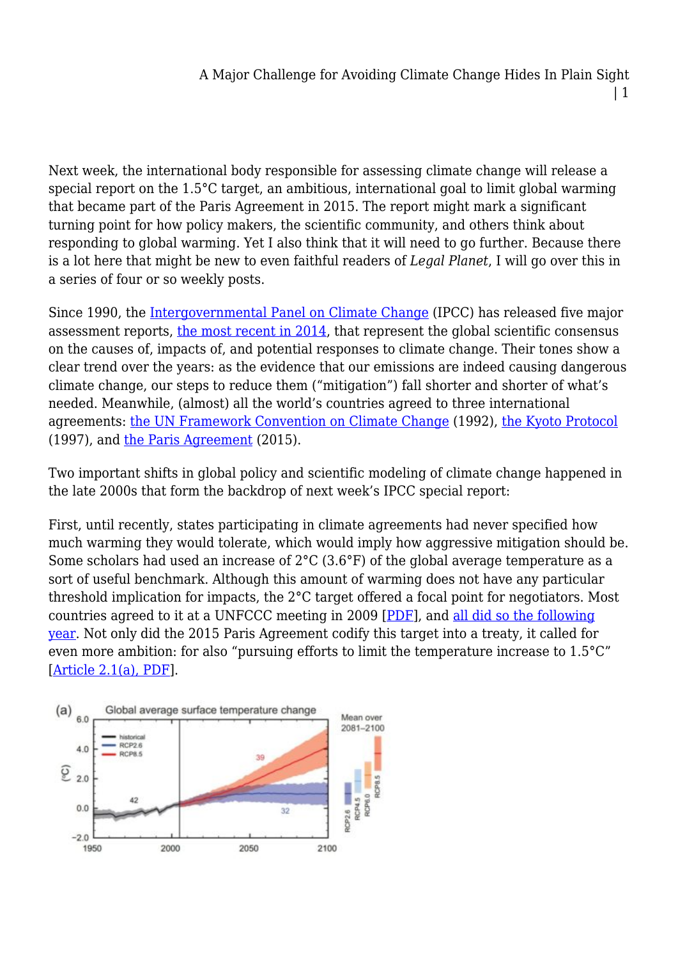Next week, the international body responsible for assessing climate change will release a special report on the 1.5°C target, an ambitious, international goal to limit global warming that became part of the Paris Agreement in 2015. The report might mark a significant turning point for how policy makers, the scientific community, and others think about responding to global warming. Yet I also think that it will need to go further. Because there is a lot here that might be new to even faithful readers of *Legal Planet*, I will go over this in a series of four or so weekly posts.

Since 1990, the [Intergovernmental Panel on Climate Change](https://www.ipcc.ch/) (IPCC) has released five major assessment reports, [the most recent in 2014,](http://www.ipcc.ch/report/ar5/) that represent the global scientific consensus on the causes of, impacts of, and potential responses to climate change. Their tones show a clear trend over the years: as the evidence that our emissions are indeed causing dangerous climate change, our steps to reduce them ("mitigation") fall shorter and shorter of what's needed. Meanwhile, (almost) all the world's countries agreed to three international agreements: [the UN Framework Convention on Climate Change](https://unfccc.int/process/the-convention/history-of-the-convention) (1992), [the Kyoto Protocol](https://unfccc.int/process-and-meetings/the-kyoto-protocol/what-is-the-kyoto-protocol) (1997), and [the Paris Agreement](https://unfccc.int/process-and-meetings/the-paris-agreement/what-is-the-paris-agreement) (2015).

Two important shifts in global policy and scientific modeling of climate change happened in the late 2000s that form the backdrop of next week's IPCC special report:

First, until recently, states participating in climate agreements had never specified how much warming they would tolerate, which would imply how aggressive mitigation should be. Some scholars had used an increase of 2°C (3.6°F) of the global average temperature as a sort of useful benchmark. Although this amount of warming does not have any particular threshold implication for impacts, the 2°C target offered a focal point for negotiators. Most countries agreed to it at a UNFCCC meeting in 2009 [[PDF](https://unfccc.int/resource/docs/2009/cop15/eng/l07.pdf)], and [all did so the following](https://unfccc.int/event/cancun-climate-change-conference-november-2010-meetings-page) [year.](https://unfccc.int/event/cancun-climate-change-conference-november-2010-meetings-page) Not only did the 2015 Paris Agreement codify this target into a treaty, it called for even more ambition: for also "pursuing efforts to limit the temperature increase to 1.5°C" [[Article 2.1\(a\), PDF](http://unfccc.int/files/meetings/paris_nov_2015/application/pdf/paris_agreement_english_.pdf)].

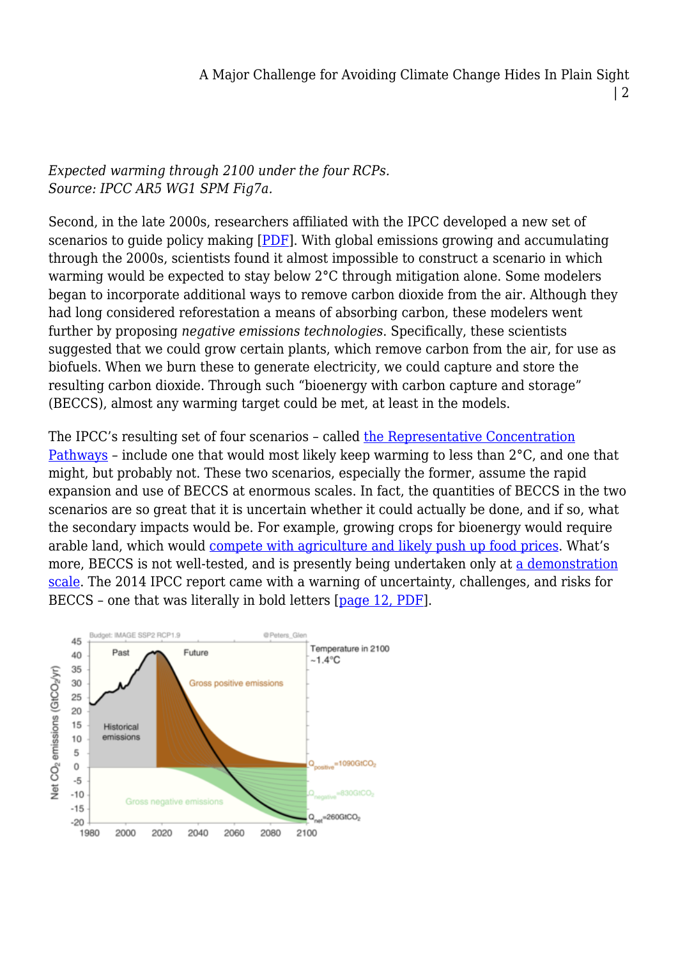## | 2

## *Expected warming through 2100 under the four RCPs. Source: IPCC AR5 WG1 SPM Fig7a.*

Second, in the late 2000s, researchers affiliated with the IPCC developed a new set of scenarios to guide policy making [\[PDF\]](https://www.ipcc.ch/pdf/supporting-material/expert-meeting-ts-scenarios.pdf). With global emissions growing and accumulating through the 2000s, scientists found it almost impossible to construct a scenario in which warming would be expected to stay below 2°C through mitigation alone. Some modelers began to incorporate additional ways to remove carbon dioxide from the air. Although they had long considered reforestation a means of absorbing carbon, these modelers went further by proposing *negative emissions technologies*. Specifically, these scientists suggested that we could grow certain plants, which remove carbon from the air, for use as biofuels. When we burn these to generate electricity, we could capture and store the resulting carbon dioxide. Through such "bioenergy with carbon capture and storage" (BECCS), almost any warming target could be met, at least in the models.

The IPCC's resulting set of four scenarios – called [the Representative Concentration](https://link.springer.com/article/10.1007/s10584-011-0148-z) [Pathways](https://link.springer.com/article/10.1007/s10584-011-0148-z) – include one that would most likely keep warming to less than 2°C, and one that might, but probably not. These two scenarios, especially the former, assume the rapid expansion and use of BECCS at enormous scales. In fact, the quantities of BECCS in the two scenarios are so great that it is uncertain whether it could actually be done, and if so, what the secondary impacts would be. For example, growing crops for bioenergy would require arable land, which would [compete with agriculture and likely push up food prices.](http://iopscience.iop.org/article/10.1088/1748-9326/11/9/095004/meta) What's more, BECCS is not well-tested, and is presently being undertaken only at [a demonstration](https://www.carbonbrief.org/analysis-negative-emissions-tested-worlds-first-major-beccs-facility) [scale](https://www.carbonbrief.org/analysis-negative-emissions-tested-worlds-first-major-beccs-facility). The 2014 IPCC report came with a warning of uncertainty, challenges, and risks for BECCS – one that was literally in bold letters [[page 12, PDF\]](http://www.ipcc.ch/pdf/assessment-report/ar5/wg3/ipcc_wg3_ar5_summary-for-policymakers.pdf).